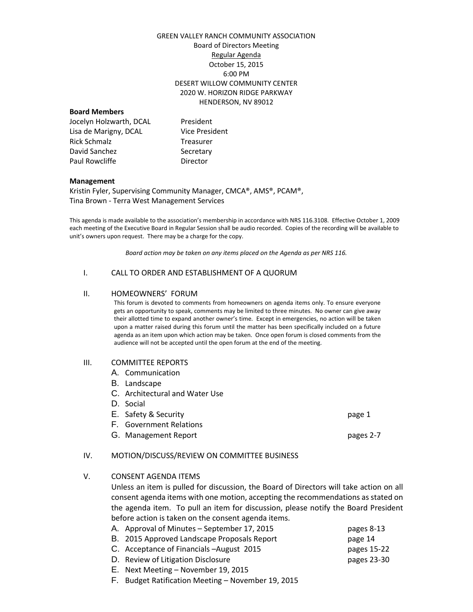# GREEN VALLEY RANCH COMMUNITY ASSOCIATION Board of Directors Meeting Regular Agenda October 15, 2015 6:00 PM DESERT WILLOW COMMUNITY CENTER 2020 W. HORIZON RIDGE PARKWAY HENDERSON, NV 89012

# **Board Members**

| President             |
|-----------------------|
| <b>Vice President</b> |
| Treasurer             |
| Secretary             |
| Director              |
|                       |

# **Management**

Kristin Fyler, Supervising Community Manager, CMCA®, AMS®, PCAM®, Tina Brown - Terra West Management Services

This agenda is made available to the association's membership in accordance with NRS 116.3108. Effective October 1, 2009 each meeting of the Executive Board in Regular Session shall be audio recorded. Copies of the recording will be available to unit's owners upon request. There may be a charge for the copy.

*Board action may be taken on any items placed on the Agenda as per NRS 116.*

# I. CALL TO ORDER AND ESTABLISHMENT OF A QUORUM

#### II. HOMEOWNERS' FORUM

This forum is devoted to comments from homeowners on agenda items only. To ensure everyone gets an opportunity to speak, comments may be limited to three minutes. No owner can give away their allotted time to expand another owner's time. Except in emergencies, no action will be taken upon a matter raised during this forum until the matter has been specifically included on a future agenda as an item upon which action may be taken. Once open forum is closed comments from the audience will not be accepted until the open forum at the end of the meeting.

# III. COMMITTEE REPORTS

- A. Communication
- B. Landscape
- C. Architectural and Water Use
- D. Social
- E. Safety & Security **page 1** F. Government Relations G. Management Report **pages 2-7**

# IV. MOTION/DISCUSS/REVIEW ON COMMITTEE BUSINESS

V. CONSENT AGENDA ITEMS

Unless an item is pulled for discussion, the Board of Directors will take action on all consent agenda items with one motion, accepting the recommendations as stated on the agenda item. To pull an item for discussion, please notify the Board President before action is taken on the consent agenda items.

| A. Approval of Minutes – September 17, 2015 | pages 8-13  |
|---------------------------------------------|-------------|
| B. 2015 Approved Landscape Proposals Report | page 14     |
| C. Acceptance of Financials - August 2015   | pages 15-22 |
| D. Review of Litigation Disclosure          | pages 23-30 |
| E. Next Meeting – November 19, 2015         |             |

F. Budget Ratification Meeting – November 19, 2015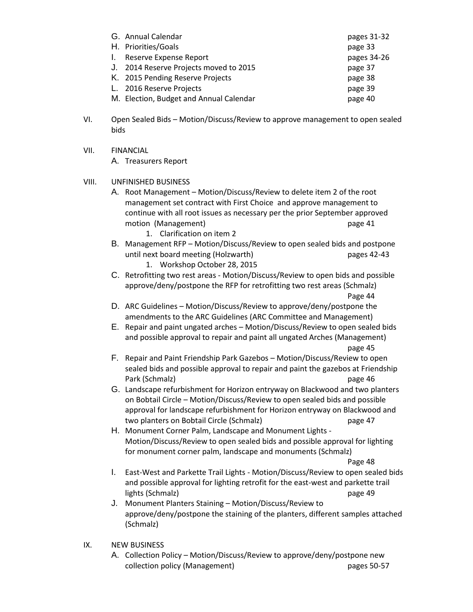| G. Annual Calendar                      | pages 31-32 |
|-----------------------------------------|-------------|
| H. Priorities/Goals                     | page 33     |
| I. Reserve Expense Report               | pages 34-26 |
| J. 2014 Reserve Projects moved to 2015  | page 37     |
| K. 2015 Pending Reserve Projects        | page 38     |
| L. 2016 Reserve Projects                | page 39     |
| M. Election, Budget and Annual Calendar | page 40     |

- VI. Open Sealed Bids Motion/Discuss/Review to approve management to open sealed bids
- VII. FINANCIAL

A. Treasurers Report

- VIII. UNFINISHED BUSINESS
	- A. Root Management Motion/Discuss/Review to delete item 2 of the root management set contract with First Choice and approve management to continue with all root issues as necessary per the prior September approved motion (Management) page 41
		- 1. Clarification on item 2
	- B. Management RFP Motion/Discuss/Review to open sealed bids and postpone until next board meeting (Holzwarth) pages 42-43
		- 1. Workshop October 28, 2015
	- C. Retrofitting two rest areas Motion/Discuss/Review to open bids and possible approve/deny/postpone the RFP for retrofitting two rest areas (Schmalz) Page 44
	- D. ARC Guidelines Motion/Discuss/Review to approve/deny/postpone the amendments to the ARC Guidelines (ARC Committee and Management)
	- E. Repair and paint ungated arches Motion/Discuss/Review to open sealed bids and possible approval to repair and paint all ungated Arches (Management) page 45
	- F. Repair and Paint Friendship Park Gazebos Motion/Discuss/Review to open sealed bids and possible approval to repair and paint the gazebos at Friendship Park (Schmalz) page 46
	- G. Landscape refurbishment for Horizon entryway on Blackwood and two planters on Bobtail Circle – Motion/Discuss/Review to open sealed bids and possible approval for landscape refurbishment for Horizon entryway on Blackwood and two planters on Bobtail Circle (Schmalz) page 47
	- H. Monument Corner Palm, Landscape and Monument Lights Motion/Discuss/Review to open sealed bids and possible approval for lighting for monument corner palm, landscape and monuments (Schmalz)

Page 48

- I. East-West and Parkette Trail Lights Motion/Discuss/Review to open sealed bids and possible approval for lighting retrofit for the east-west and parkette trail lights (Schmalz) **page 49**
- J. Monument Planters Staining Motion/Discuss/Review to approve/deny/postpone the staining of the planters, different samples attached (Schmalz)
- IX. NEW BUSINESS
	- A. Collection Policy Motion/Discuss/Review to approve/deny/postpone new collection policy (Management) pages 50-57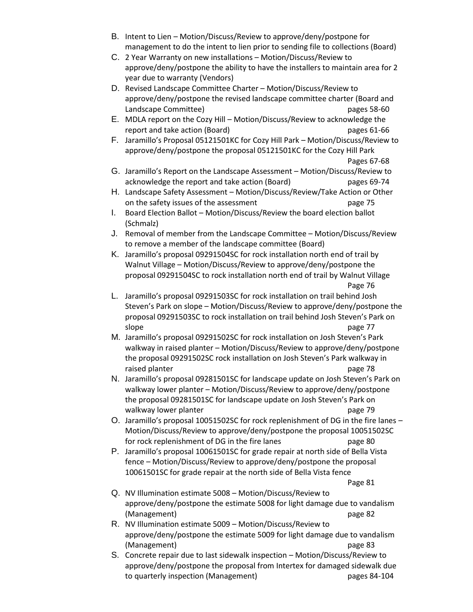- B. Intent to Lien Motion/Discuss/Review to approve/deny/postpone for management to do the intent to lien prior to sending file to collections (Board)
- C. 2 Year Warranty on new installations Motion/Discuss/Review to approve/deny/postpone the ability to have the installers to maintain area for 2 year due to warranty (Vendors)
- D. Revised Landscape Committee Charter Motion/Discuss/Review to approve/deny/postpone the revised landscape committee charter (Board and Landscape Committee) and the committee of the control of the control of the control of the pages 58-60
- E. MDLA report on the Cozy Hill Motion/Discuss/Review to acknowledge the report and take action (Board) pages 61-66
- F. Jaramillo's Proposal 05121501KC for Cozy Hill Park Motion/Discuss/Review to approve/deny/postpone the proposal 05121501KC for the Cozy Hill Park Pages 67-68
- G. Jaramillo's Report on the Landscape Assessment Motion/Discuss/Review to acknowledge the report and take action (Board) pages 69-74
- H. Landscape Safety Assessment Motion/Discuss/Review/Take Action or Other on the safety issues of the assessment page 75
- I. Board Election Ballot Motion/Discuss/Review the board election ballot (Schmalz)
- J. Removal of member from the Landscape Committee Motion/Discuss/Review to remove a member of the landscape committee (Board)
- K. Jaramillo's proposal 09291504SC for rock installation north end of trail by Walnut Village – Motion/Discuss/Review to approve/deny/postpone the proposal 09291504SC to rock installation north end of trail by Walnut Village Page 76
- L. Jaramillo's proposal 09291503SC for rock installation on trail behind Josh Steven's Park on slope – Motion/Discuss/Review to approve/deny/postpone the proposal 09291503SC to rock installation on trail behind Josh Steven's Park on slope page 77
- M. Jaramillo's proposal 09291502SC for rock installation on Josh Steven's Park walkway in raised planter – Motion/Discuss/Review to approve/deny/postpone the proposal 09291502SC rock installation on Josh Steven's Park walkway in raised planter and page 78
- N. Jaramillo's proposal 09281501SC for landscape update on Josh Steven's Park on walkway lower planter – Motion/Discuss/Review to approve/deny/postpone the proposal 09281501SC for landscape update on Josh Steven's Park on walkway lower planter and page 79
- O. Jaramillo's proposal 10051502SC for rock replenishment of DG in the fire lanes Motion/Discuss/Review to approve/deny/postpone the proposal 10051502SC for rock replenishment of DG in the fire lanes page 80
- P. Jaramillo's proposal 10061501SC for grade repair at north side of Bella Vista fence – Motion/Discuss/Review to approve/deny/postpone the proposal 10061501SC for grade repair at the north side of Bella Vista fence

Page 81

- Q. NV Illumination estimate 5008 Motion/Discuss/Review to approve/deny/postpone the estimate 5008 for light damage due to vandalism (Management) page 82
- R. NV Illumination estimate 5009 Motion/Discuss/Review to approve/deny/postpone the estimate 5009 for light damage due to vandalism (Management) page 83
- S. Concrete repair due to last sidewalk inspection Motion/Discuss/Review to approve/deny/postpone the proposal from Intertex for damaged sidewalk due to quarterly inspection (Management) example to quarterly inspection (Management)